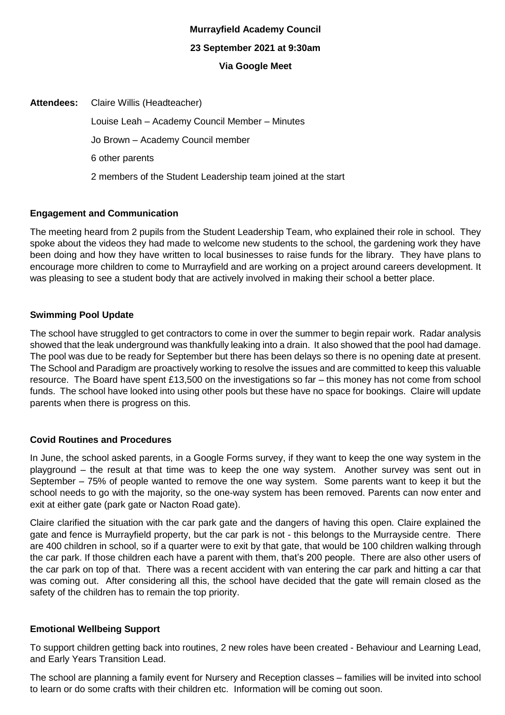# **Murrayfield Academy Council 23 September 2021 at 9:30am Via Google Meet**

| <b>Attendees:</b> Claire Willis (Headteacher)                |
|--------------------------------------------------------------|
| Louise Leah – Academy Council Member – Minutes               |
| Jo Brown - Academy Council member                            |
| 6 other parents                                              |
| 2 members of the Student Leadership team joined at the start |

# **Engagement and Communication**

The meeting heard from 2 pupils from the Student Leadership Team, who explained their role in school. They spoke about the videos they had made to welcome new students to the school, the gardening work they have been doing and how they have written to local businesses to raise funds for the library. They have plans to encourage more children to come to Murrayfield and are working on a project around careers development. It was pleasing to see a student body that are actively involved in making their school a better place.

# **Swimming Pool Update**

The school have struggled to get contractors to come in over the summer to begin repair work. Radar analysis showed that the leak underground was thankfully leaking into a drain. It also showed that the pool had damage. The pool was due to be ready for September but there has been delays so there is no opening date at present. The School and Paradigm are proactively working to resolve the issues and are committed to keep this valuable resource. The Board have spent £13,500 on the investigations so far – this money has not come from school funds. The school have looked into using other pools but these have no space for bookings. Claire will update parents when there is progress on this.

# **Covid Routines and Procedures**

In June, the school asked parents, in a Google Forms survey, if they want to keep the one way system in the playground – the result at that time was to keep the one way system. Another survey was sent out in September – 75% of people wanted to remove the one way system. Some parents want to keep it but the school needs to go with the majority, so the one-way system has been removed. Parents can now enter and exit at either gate (park gate or Nacton Road gate).

Claire clarified the situation with the car park gate and the dangers of having this open. Claire explained the gate and fence is Murrayfield property, but the car park is not - this belongs to the Murrayside centre. There are 400 children in school, so if a quarter were to exit by that gate, that would be 100 children walking through the car park. If those children each have a parent with them, that's 200 people. There are also other users of the car park on top of that. There was a recent accident with van entering the car park and hitting a car that was coming out. After considering all this, the school have decided that the gate will remain closed as the safety of the children has to remain the top priority.

# **Emotional Wellbeing Support**

To support children getting back into routines, 2 new roles have been created - Behaviour and Learning Lead, and Early Years Transition Lead.

The school are planning a family event for Nursery and Reception classes – families will be invited into school to learn or do some crafts with their children etc. Information will be coming out soon.